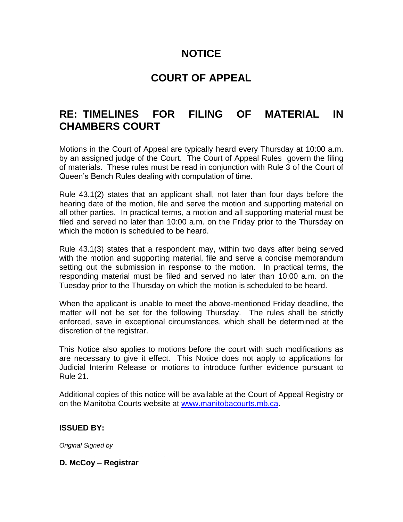## **NOTICE**

## **COURT OF APPEAL**

## **RE: TIMELINES FOR FILING OF MATERIAL IN CHAMBERS COURT**

Motions in the Court of Appeal are typically heard every Thursday at 10:00 a.m. by an assigned judge of the Court. The Court of Appeal Rules govern the filing of materials. These rules must be read in conjunction with Rule 3 of the Court of Queen's Bench Rules dealing with computation of time.

Rule 43.1(2) states that an applicant shall, not later than four days before the hearing date of the motion, file and serve the motion and supporting material on all other parties. In practical terms, a motion and all supporting material must be filed and served no later than 10:00 a.m. on the Friday prior to the Thursday on which the motion is scheduled to be heard.

Rule 43.1(3) states that a respondent may, within two days after being served with the motion and supporting material, file and serve a concise memorandum setting out the submission in response to the motion. In practical terms, the responding material must be filed and served no later than 10:00 a.m. on the Tuesday prior to the Thursday on which the motion is scheduled to be heard.

When the applicant is unable to meet the above-mentioned Friday deadline, the matter will not be set for the following Thursday. The rules shall be strictly enforced, save in exceptional circumstances, which shall be determined at the discretion of the registrar.

This Notice also applies to motions before the court with such modifications as are necessary to give it effect. This Notice does not apply to applications for Judicial Interim Release or motions to introduce further evidence pursuant to Rule 21.

Additional copies of this notice will be available at the Court of Appeal Registry or on the Manitoba Courts website at [www.manitobacourts.mb.ca.](https://www.manitobacourts.mb.ca/)

## **ISSUED BY:**

*Original Signed by* **\_\_\_\_\_\_\_\_\_\_\_\_\_\_\_\_\_\_\_\_\_\_\_\_\_\_\_**

**D. McCoy – Registrar**